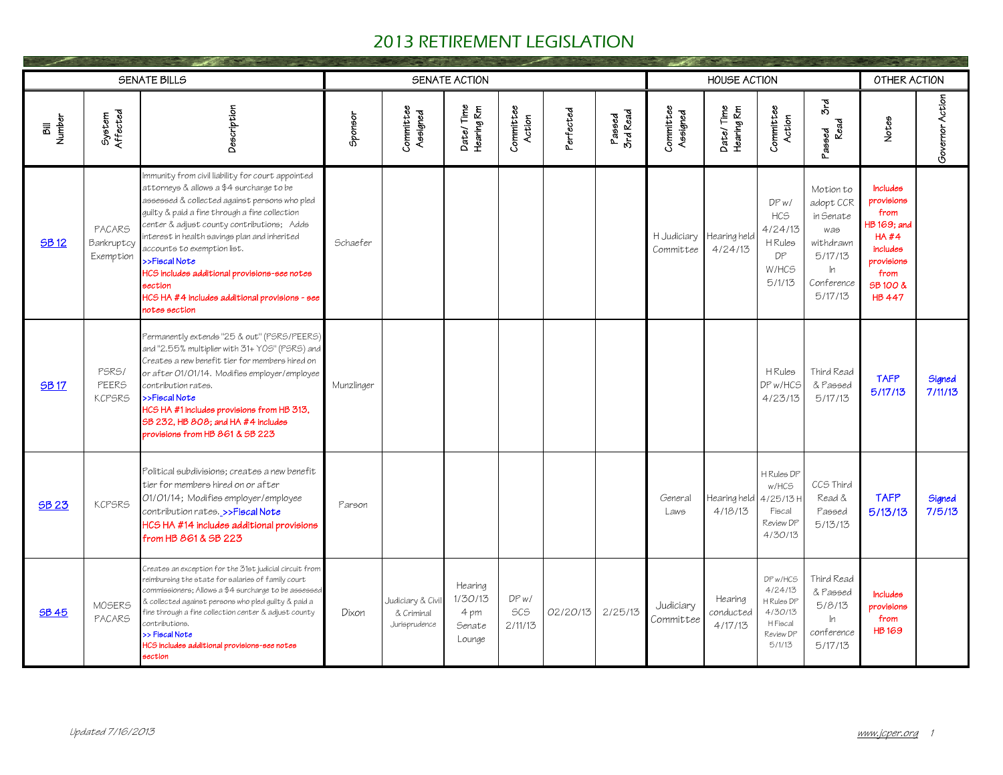|              |                                        | SENATE BILLS                                                                                                                                                                                                                                                                                                                                                                                                                                                                  |            |                                                 | SENATE ACTION                                  |                              |           |                    |                                       | HOUSE ACTION                    |                                                                                       |                                                                                                   | OTHER ACTION                                                                                                                |                   |
|--------------|----------------------------------------|-------------------------------------------------------------------------------------------------------------------------------------------------------------------------------------------------------------------------------------------------------------------------------------------------------------------------------------------------------------------------------------------------------------------------------------------------------------------------------|------------|-------------------------------------------------|------------------------------------------------|------------------------------|-----------|--------------------|---------------------------------------|---------------------------------|---------------------------------------------------------------------------------------|---------------------------------------------------------------------------------------------------|-----------------------------------------------------------------------------------------------------------------------------|-------------------|
| Number<br>詞  | System<br>Affected                     | Description                                                                                                                                                                                                                                                                                                                                                                                                                                                                   | Sponsor    | Committee<br>Assigned                           | Date/Time<br>Hearing Rm                        | Committee<br>Action          | Perfected | Passed<br>3rd Read | Committee<br>Assigned                 | Date/Time<br>Hearing Rm         | Committee<br>Action                                                                   | 3rd<br>Read<br>Passed                                                                             | Notes                                                                                                                       | Governor Action   |
| <b>SB12</b>  | PACARS<br>Bankruptcy<br>Exemption      | Immunity from civil liability for court appointed<br>attorneys & allows a \$4 surcharge to be<br>assessed & collected against persons who pled<br>quilty & paid a fine through a fine collection<br>center & adjust county contributions; Adds<br>interest in health savings plan and inherited<br>accounts to exemption list.<br>>>Fiscal Note<br>HCS includes additional provisions-see notes<br>section<br>HCS HA #4 includes additional provisions - see<br>notes section | Schaefer   |                                                 |                                                |                              |           |                    | H Judiciary Hearing held<br>Committee | 4/24/13                         | DPW<br>HC <sub>5</sub><br>4/24/13<br>H Rules<br>DP<br>W/HCS<br>5/1/13                 | Motion to<br>adopt CCR<br>in Senate<br>was<br>withdrawn<br>5/17/13<br>In<br>Conference<br>5/17/13 | <b>Includes</b><br>provisions<br>from<br>HB 169: and<br>HA#4<br>includes<br>provisions<br>from<br>SB 100 &<br><b>HB 447</b> |                   |
| <b>SB17</b>  | PSRS/<br><b>PEERS</b><br><b>KCPSRS</b> | Permanently extends "25 & out" (PSRS/PEERS)<br>and "2.55% multiplier with 31+ Y0S" (PSRS) and<br>Creates a new benefit tier for members hired on<br>or after 01/01/14. Modifies employer/employee<br>contribution rates.<br>>>Fiscal Note<br>HCS HA #1 includes provisions from HB 313,<br>SB 232, HB 808; and HA #4 includes<br>provisions from HB 861 & SB 223                                                                                                              | Munzlinger |                                                 |                                                |                              |           |                    |                                       |                                 | H Rules<br>DP w/HCS<br>4/23/13                                                        | Third Read<br>& Passed<br>5/17/13                                                                 | <b>TAFP</b><br>5/17/13                                                                                                      | Signed<br>7/11/13 |
| <b>SB 23</b> | <b>KCPSRS</b>                          | Political subdivisions; creates a new benefit<br>tier for members hired on or after<br>01/01/14; Modifies employer/employee<br>contribution rates. >>Fiscal Note<br>HCS HA #14 includes additional provisions<br>from HB 861 & SB 223                                                                                                                                                                                                                                         | Parson     |                                                 |                                                |                              |           |                    | General<br>Laws                       | Hearing held<br>4/18/13         | H Rules DP<br>w/HCS<br>4/25/13H<br>Fiscal<br>Review DP<br>4/30/13                     | CCS Third<br>Read &<br>Passed<br>5/13/13                                                          | <b>TAFP</b><br>5/13/13                                                                                                      | Signed<br>7/5/13  |
| <b>SB 45</b> | MOSERS<br><b>PACARS</b>                | Creates an exception for the 31st judicial circuit from<br>reimbursing the state for salaries of family court<br>commissioners; Allows a \$4 surcharge to be assessed<br>& collected against persons who pled guilty & paid a<br>fine through a fine collection center & adjust county<br>contributions.<br>>> Fiscal Note<br>HCS includes additional provisions-see notes<br>section                                                                                         | Dixon      | Judiciary & Civi<br>& Criminal<br>Jurisprudence | Hearing<br>1/30/13<br>4 pm<br>Senate<br>Lounge | DPW<br><b>SCS</b><br>2/11/13 | 02/20/13  | 2/25/13            | Judiciary<br>Committee                | Hearing<br>conducted<br>4/17/13 | DP w/HCS<br>4/24/13<br>H Rules DP<br>4/30/13<br><b>HFiscal</b><br>Review DP<br>5/1/13 | Third Read<br>& Passed<br>5/8/13<br>ln<br>conference<br>5/17/13                                   | <b>Includes</b><br>provisions<br>from<br><b>HB169</b>                                                                       |                   |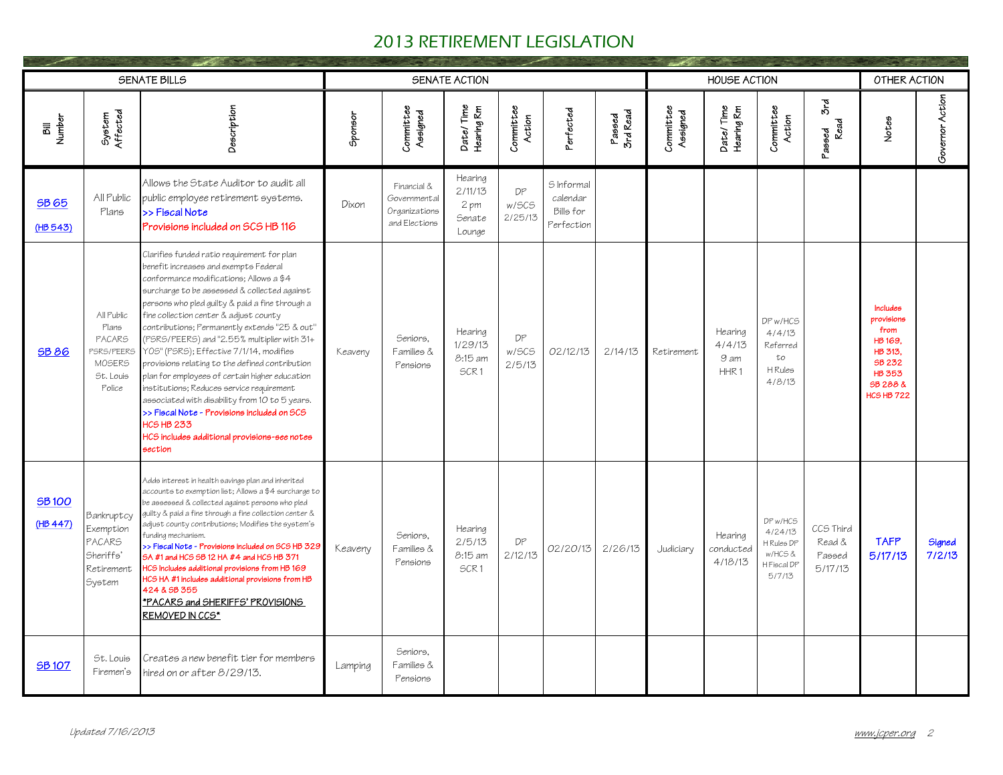|                          |                                                                                            | <b>SENATE BILLS</b>                                                                                                                                                                                                                                                                                                                                                                                                                                                                                                                                                                                                                                                                                                                                        |         |                                                               | SENATE ACTION                                  |                        |                                                   |                    |                       | <b>HOUSE ACTION</b>                           |                                                                      |                                          | OTHER ACTION                                                                                                     |                  |
|--------------------------|--------------------------------------------------------------------------------------------|------------------------------------------------------------------------------------------------------------------------------------------------------------------------------------------------------------------------------------------------------------------------------------------------------------------------------------------------------------------------------------------------------------------------------------------------------------------------------------------------------------------------------------------------------------------------------------------------------------------------------------------------------------------------------------------------------------------------------------------------------------|---------|---------------------------------------------------------------|------------------------------------------------|------------------------|---------------------------------------------------|--------------------|-----------------------|-----------------------------------------------|----------------------------------------------------------------------|------------------------------------------|------------------------------------------------------------------------------------------------------------------|------------------|
| <b>Number</b><br>詞       | Affected<br>System                                                                         | Description                                                                                                                                                                                                                                                                                                                                                                                                                                                                                                                                                                                                                                                                                                                                                | Sponsor | Committee<br>Assigned                                         | Date/Time<br>Hearing Rm                        | Committee<br>Action    | Perfected                                         | Passed<br>3rd Read | Committee<br>Assigned | Date/Time<br>Hearing Rm                       | Committee<br>Action                                                  | δrd<br>Read<br>Passed                    | Notes                                                                                                            | Governor Action  |
| <b>SB 65</b><br>(HB 543) | All Public<br>Plans                                                                        | Allows the State Auditor to audit all<br>public employee retirement systems.<br>>>Fiscal Note<br>Provisions included on SCS HB 116                                                                                                                                                                                                                                                                                                                                                                                                                                                                                                                                                                                                                         | Dixon   | Financial &<br>Governmental<br>Organizations<br>and Elections | Hearing<br>2/11/13<br>2 pm<br>Senate<br>Lounge | DP<br>W/SCS<br>2/25/13 | S Informal<br>calendar<br>Bills for<br>Perfection |                    |                       |                                               |                                                                      |                                          |                                                                                                                  |                  |
| <b>SB 86</b>             | All Public<br>Plans<br><b>PACARS</b><br>PSRS/PEERS<br><b>MOSERS</b><br>St. Louis<br>Police | Clarifies funded ratio requirement for plan<br>benefit increases and exempts Federal<br>conformance modifications; Allows a \$4<br>surcharge to be assessed & collected against<br>persons who pled guilty & paid a fine through a<br>fine collection center & adjust county<br>contributions; Permanently extends "25 & out"<br>(PSRS/PEERS) and "2.55% multiplier with 31+<br>YOS" (PSRS); Effective 7/1/14, modifies<br>provisions relating to the defined contribution<br>plan for employees of certain higher education<br>institutions; Reduces service requirement<br>associated with disability from 10 to 5 years.<br>>> Fiscal Note - Provisions included on SCS<br><b>HCS HB 233</b><br>HCS includes additional provisions-see notes<br>section | Keaveny | Seniors.<br>Families &<br>Pensions                            | Hearing<br>1/29/13<br>8:15 am<br>SCR1          | DP<br>w/SCS<br>2/5/13  | 02/12/13                                          | 2/14/13            | Retirement            | Hearing<br>4/4/13<br>9 am<br>HHR <sub>1</sub> | DP w/HCS<br>4/4/13<br>Referred<br>too<br><b>H</b> Rules<br>4/8/13    |                                          | Includes<br>provisions<br>from<br>HB 169,<br>HB 313.<br>SB 232<br><b>HB 353</b><br>SB 288 &<br><b>HCS HB 722</b> |                  |
| <b>SB100</b><br>(HB 447) | Bankruptcy<br>Exemption<br><b>PACARS</b><br>Sheriffs'<br>Retirement<br>System              | Adds interest in health savings plan and inherited<br>accounts to exemption list; Allows a \$4 surcharge to<br>be assessed & collected against persons who pled<br>quilty & paid a fine through a fine collection center &<br>adjust county contributions; Modifies the system's<br>funding mechanism.<br>>> Fiscal Note - Provisions included on SCS HB 329<br>5A #1 and HCS SB 12 HA #4 and HCS HB 371<br>ICS Includes additional provisions from HB 169<br>HCS HA #1 includes additional provisions from HB<br>424 & SB 355<br>*PACARS and SHERIFFS' PROVISIONS<br><b>REMOVED IN CCS*</b>                                                                                                                                                               | Keaveny | Seniors.<br>Families &<br>Pensions                            | Hearing<br>2/5/13<br>8:15 am<br>SCR1           | DP<br>2/12/13          | 02/20/13                                          | 2/26/13            | Judiciary             | Hearing<br>conducted<br>4/18/13               | DP w/HCS<br>4/24/13<br>H Rules DP<br>w/HCS&<br>H Fiscal DP<br>5/7/13 | CCS Third<br>Read &<br>Passed<br>5/17/13 | <b>TAFP</b><br>5/17/13                                                                                           | Signed<br>7/2/13 |
| <b>SB107</b>             | St. Louis<br>Firemen's                                                                     | Creates a new benefit tier for members<br>hired on or after 8/29/13.                                                                                                                                                                                                                                                                                                                                                                                                                                                                                                                                                                                                                                                                                       | Lamping | Seniors.<br>Families &<br>Pensions                            |                                                |                        |                                                   |                    |                       |                                               |                                                                      |                                          |                                                                                                                  |                  |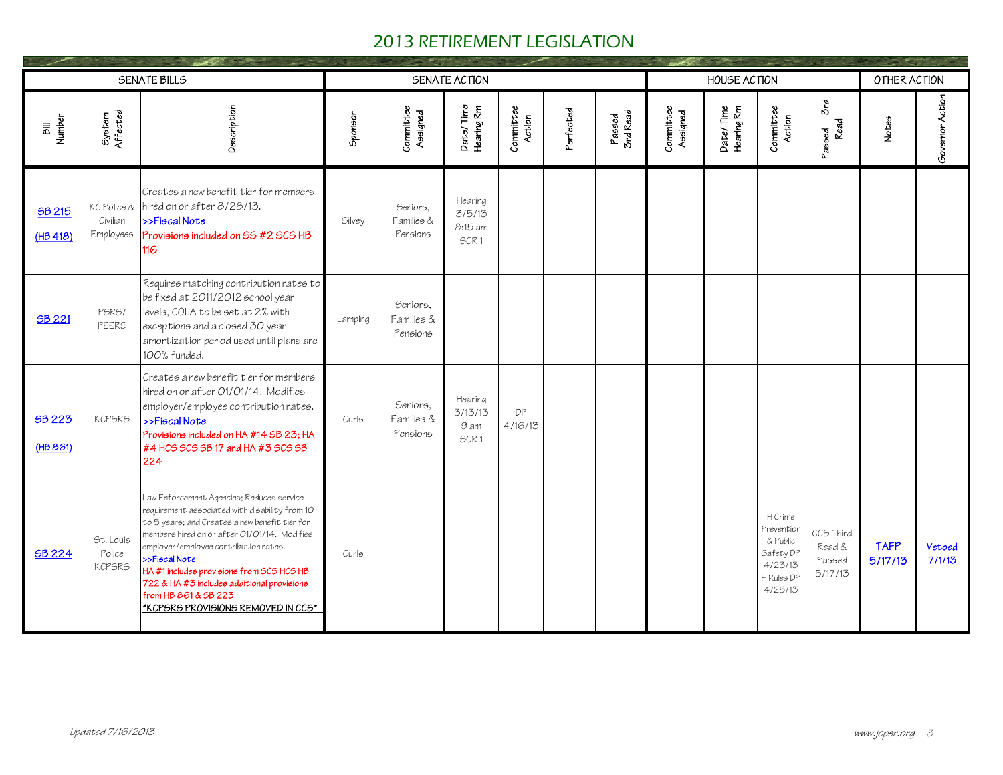|                                                |                                      | <b>SENATE BILLS</b>                                                                                                                                                                                                                                                                                                                                                                                              |         |                                    | SENATE ACTION                                  |                     |           |                    |                       | <b>HOUSE ACTION</b>     |                                                                                    |                                          | OTHER ACTION           |                         |
|------------------------------------------------|--------------------------------------|------------------------------------------------------------------------------------------------------------------------------------------------------------------------------------------------------------------------------------------------------------------------------------------------------------------------------------------------------------------------------------------------------------------|---------|------------------------------------|------------------------------------------------|---------------------|-----------|--------------------|-----------------------|-------------------------|------------------------------------------------------------------------------------|------------------------------------------|------------------------|-------------------------|
| <b>Number</b><br>$\overline{\overline{\bf 5}}$ | System<br>Affected                   | Description                                                                                                                                                                                                                                                                                                                                                                                                      | Sponsor | Committee<br>Assigned              | Date/Time<br>Hearing Rm                        | Committee<br>Action | Perfected | Passed<br>3rd Read | Committee<br>Assigned | Date/Time<br>Hearing Rm | Committee<br>Action                                                                | δrd<br>Read<br>Passed                    | Notes                  | Governor Action         |
| SB 215<br>(HB 418)                             | KC Police &<br>Civilian<br>Employees | Creates a new benefit tier for members<br>hired on or after 8/28/13.<br>>>Fiscal Note<br>Provisions included on SS #2 SCS HB<br>116                                                                                                                                                                                                                                                                              | Silvey  | Seniors.<br>Families &<br>Pensions | Hearing<br>3/5/13<br>8:15 am<br>SCR1           |                     |           |                    |                       |                         |                                                                                    |                                          |                        |                         |
| <b>SB 221</b>                                  | PSRS/<br>PEERS                       | Requires matching contribution rates to<br>be fixed at 2011/2012 school year<br>levels, COLA to be set at 2% with<br>exceptions and a closed 30 year<br>amortization period used until plans are<br>100% funded.                                                                                                                                                                                                 | Lamping | Seniors.<br>Families &<br>Pensions |                                                |                     |           |                    |                       |                         |                                                                                    |                                          |                        |                         |
| <b>SB 223</b><br>(HB 861)                      | <b>KCPSRS</b>                        | Creates a new benefit tier for members<br>hired on or after 01/01/14. Modifies<br>employer/employee contribution rates.<br>>>Fiscal Note<br>Provisions included on HA #14 SB 23; HA<br>#4 HCS SCS SB 17 and HA #3 SCS SB<br>224                                                                                                                                                                                  | Curls   | Seniors.<br>Families &<br>Pensions | Hearing<br>3/13/13<br>9 am<br>SCR <sub>1</sub> | DP<br>4/16/13       |           |                    |                       |                         |                                                                                    |                                          |                        |                         |
| <b>SB 224</b>                                  | St. Louis<br>Police<br><b>KCPSRS</b> | Law Enforcement Agencies; Reduces service<br>requirement associated with disability from 10<br>to 5 years; and Creates a new benefit tier for<br>nembers hired on or after 01/01/14. Modifies<br>employer/employee contribution rates.<br>>>Fiscal Note<br>HA #1 includes provisions from SCS HCS HB<br>722 & HA #3 includes additional provisions<br>from HB 861 & SB 223<br>*KCPSRS PROVISIONS REMOVED IN CCS* | Curls   |                                    |                                                |                     |           |                    |                       |                         | H Crime<br>Prevention<br>& Public<br>Safety DP<br>4/23/13<br>H Rules DP<br>4/25/13 | CCS Third<br>Read &<br>Passed<br>5/17/13 | <b>TAFP</b><br>5/17/13 | <b>Vetoed</b><br>7/1/13 |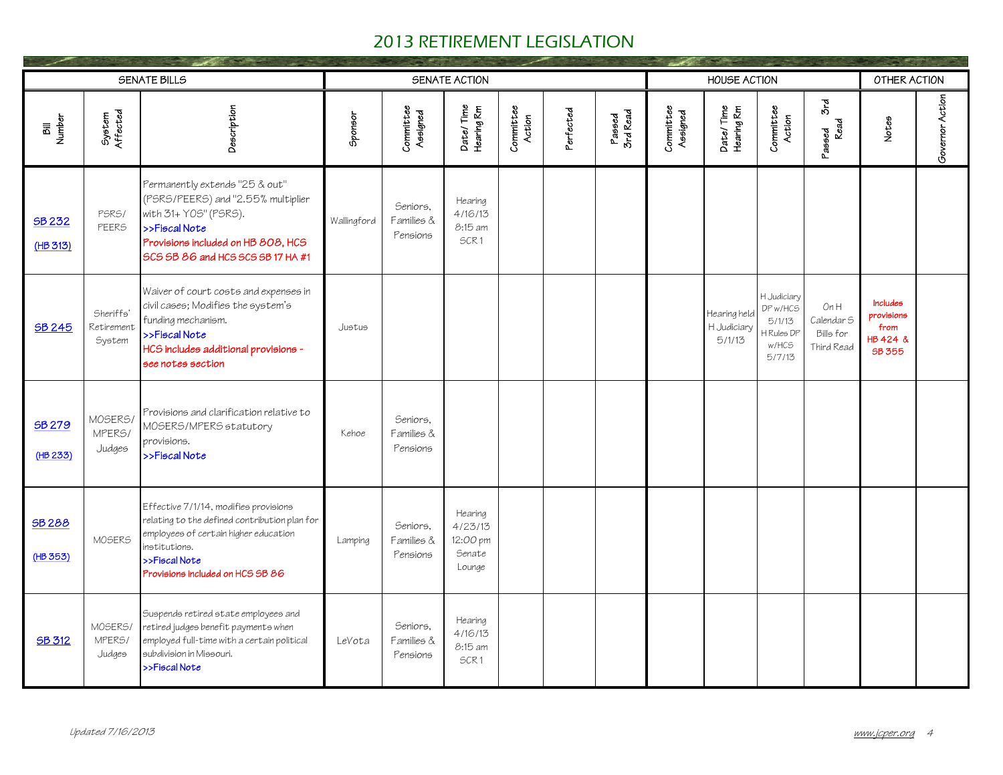|                          |                                   | <b>SENATE BILLS</b>                                                                                                                                                                                   |             |                                    | SENATE ACTION                                      |                     |           |                    |                       | <b>HOUSE ACTION</b>                   |                                                                  |                                              | OTHER ACTION                                                       |                 |
|--------------------------|-----------------------------------|-------------------------------------------------------------------------------------------------------------------------------------------------------------------------------------------------------|-------------|------------------------------------|----------------------------------------------------|---------------------|-----------|--------------------|-----------------------|---------------------------------------|------------------------------------------------------------------|----------------------------------------------|--------------------------------------------------------------------|-----------------|
| Bill<br>Number           | System<br>Affected                | Description                                                                                                                                                                                           | Sponsor     | Committee<br>Assigned              | Date/Time<br>Hearing Rm                            | Committee<br>Action | Perfected | Passed<br>3rd Read | Committee<br>Assigned | Date/Time<br>Hearing Rm               | Committee<br>Action                                              | δrd<br>Read<br>Passed                        | Notes                                                              | Governor Action |
| SB 232<br>(HB 313)       | PSRS/<br>PEERS                    | Permanently extends "25 & out"<br>(PSRS/PEERS) and "2.55% multiplier<br>with 31+ Y05" (PSRS).<br>>>Fiscal Note<br>Provisions included on HB 808, HCS<br>SCS SB 86 and HCS SCS SB 17 HA #1             | Wallingford | Seniors.<br>Families &<br>Pensions | Hearing<br>4/16/13<br>8:15 am<br>SCR1              |                     |           |                    |                       |                                       |                                                                  |                                              |                                                                    |                 |
| <b>SB 245</b>            | Sheriffs'<br>Retirement<br>System | Waiver of court costs and expenses in<br>civil cases; Modifies the system's<br>funding mechanism.<br>>>Fiscal Note<br>HCS includes additional provisions -<br>see notes section                       | Justus      |                                    |                                                    |                     |           |                    |                       | Hearing held<br>H Judiciary<br>5/1/13 | H Judiciary<br>DP w/HCS<br>5/1/13<br>Rules DP<br>w/HCS<br>5/7/13 | OnH<br>Calendar S<br>Bills for<br>Third Read | <b>Includes</b><br>provisions<br>from<br>HB 424 &<br><b>SB 355</b> |                 |
| SB 279<br>(HB 233)       | MOSERS/<br>MPERS/<br>Judges       | Provisions and clarification relative to<br>MOSERS/MPERS statutory<br>provisions.<br>>>Fiscal Note                                                                                                    | Kehoe       | Seniors.<br>Families &<br>Pensions |                                                    |                     |           |                    |                       |                                       |                                                                  |                                              |                                                                    |                 |
| <b>SB288</b><br>(HB 353) | MOSERS                            | Effective 7/1/14, modifies provisions<br>relating to the defined contribution plan for<br>employees of certain higher education<br>institutions.<br>>>Fiscal Note<br>Provisions included on HCS SB 86 | Lamping     | Seniors.<br>Families &<br>Pensions | Hearing<br>4/23/13<br>12:00 pm<br>Senate<br>Lounge |                     |           |                    |                       |                                       |                                                                  |                                              |                                                                    |                 |
| <b>SB 312</b>            | MOSERS/<br>MPERS/<br>Judges       | Suspends retired state employees and<br>retired judges benefit payments when<br>employed full-time with a certain political<br>subdivision in Missouri.<br>>>Fiscal Note                              | LeVota      | Seniors.<br>Families &<br>Pensions | Hearing<br>4/16/13<br>8:15 am<br>SCR1              |                     |           |                    |                       |                                       |                                                                  |                                              |                                                                    |                 |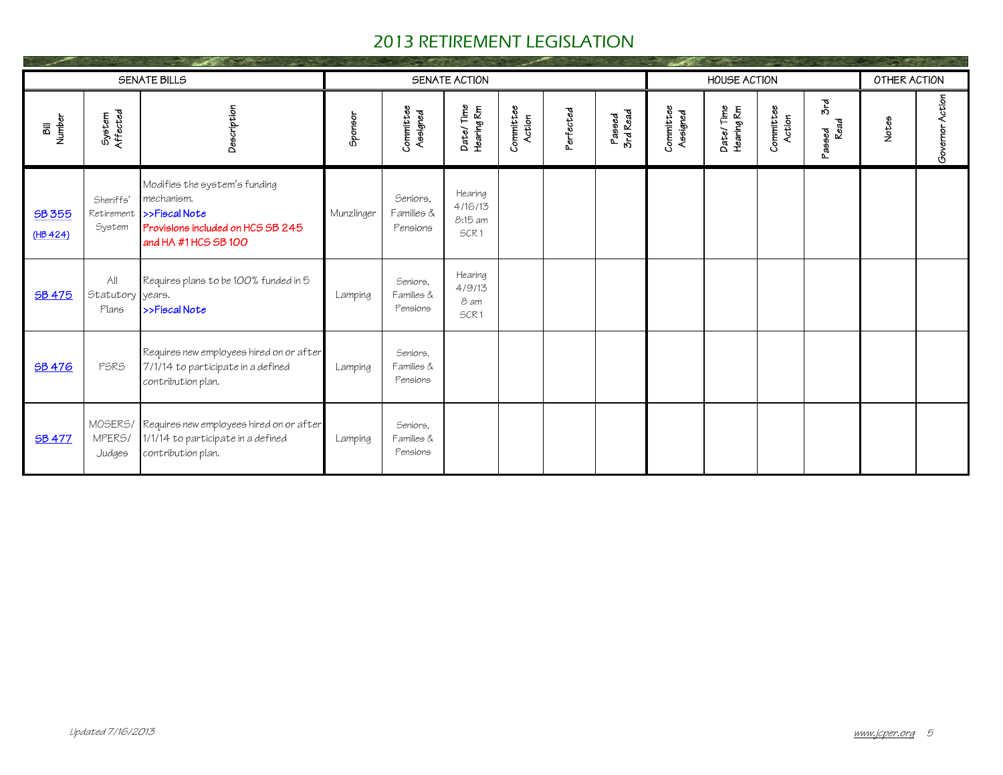|                                                           |                                   | SENATE BILLS                                                                                                              |            |                                    | SENATE ACTION                         |                     |           |                    |                       | HOUSE ACTION            |                     |                       | OTHER ACTION |                 |
|-----------------------------------------------------------|-----------------------------------|---------------------------------------------------------------------------------------------------------------------------|------------|------------------------------------|---------------------------------------|---------------------|-----------|--------------------|-----------------------|-------------------------|---------------------|-----------------------|--------------|-----------------|
| <b>Number</b><br>$\overline{\overline{\overline{\bf a}}}$ | System<br>Affected                | Description                                                                                                               | Sponsor    | Committee<br>Assigned              | Date/Time<br>Hearing Rm               | Committee<br>Action | Perfected | Passed<br>3rd Read | Committee<br>Assigned | Date/Time<br>Hearing Rm | Committee<br>Action | δrd<br>Read<br>Passed | Notes        | Governor Action |
| SB 355<br>(HB 424)                                        | Sheriffs'<br>Retirement<br>System | Modifies the system's funding<br>mechanism.<br>>>Fiscal Note<br>Provisions included on HCS SB 245<br>and HA #1 HCS SB 100 | Munzlinger | Seniors.<br>Families &<br>Pensions | Hearing<br>4/16/13<br>8:15 am<br>SCR1 |                     |           |                    |                       |                         |                     |                       |              |                 |
| <b>SB 475</b>                                             | All<br>Statutory years.<br>Plans  | Requires plans to be 100% funded in 5<br>$\rightarrow$ Fiscal Note                                                        | Lamping    | Seniors.<br>Families &<br>Pensions | Hearing<br>4/9/13<br>8 am<br>SCR1     |                     |           |                    |                       |                         |                     |                       |              |                 |
| <b>SB 476</b>                                             | PSRS                              | Requires new employees hired on or after<br>7/1/14 to participate in a defined<br>contribution plan.                      | Lamping    | Seniors.<br>Families &<br>Pensions |                                       |                     |           |                    |                       |                         |                     |                       |              |                 |
| <b>SB 477</b>                                             | MPERS/<br>Judges                  | MOSERS/ Requires new employees hired on or after<br>1/1/14 to participate in a defined<br>contribution plan.              | Lamping    | Seniors.<br>Families &<br>Pensions |                                       |                     |           |                    |                       |                         |                     |                       |              |                 |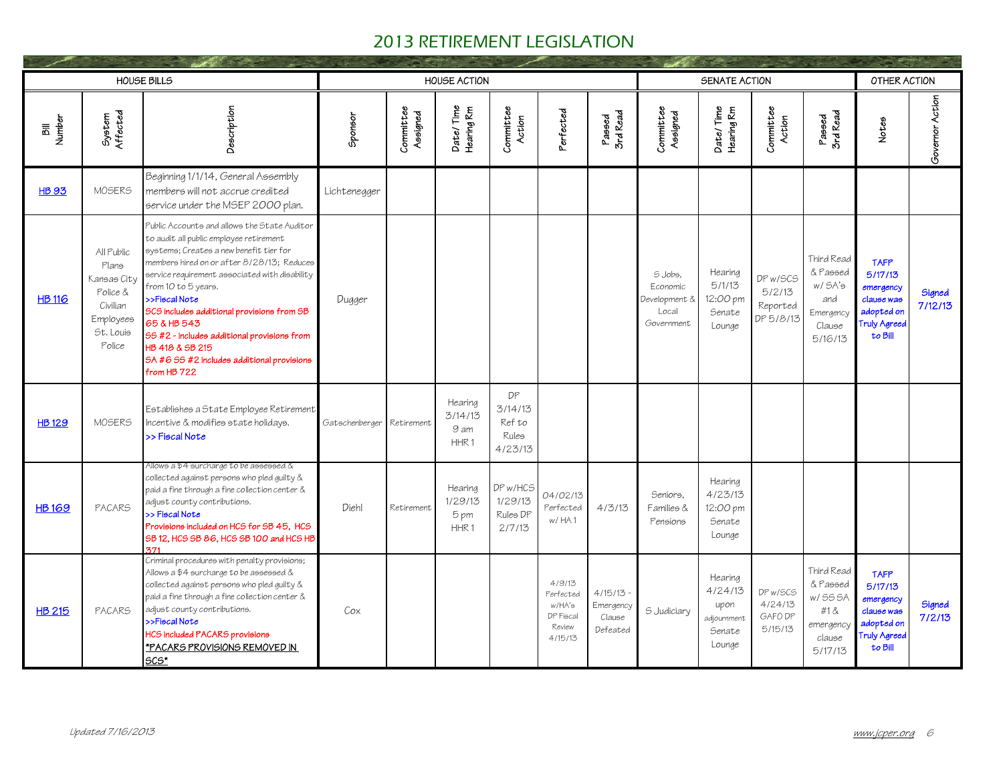|                    |                                                                                                | <b>HOUSE BILLS</b>                                                                                                                                                                                                                                                                                                                                                                                                                                                     |                |                       | <b>HOUSE ACTION</b>                            |                                             |                                                                 |                                            |                                                             | SENATE ACTION                                                 |                                             |                                                                              | OTHER ACTION                                                                                             |                   |
|--------------------|------------------------------------------------------------------------------------------------|------------------------------------------------------------------------------------------------------------------------------------------------------------------------------------------------------------------------------------------------------------------------------------------------------------------------------------------------------------------------------------------------------------------------------------------------------------------------|----------------|-----------------------|------------------------------------------------|---------------------------------------------|-----------------------------------------------------------------|--------------------------------------------|-------------------------------------------------------------|---------------------------------------------------------------|---------------------------------------------|------------------------------------------------------------------------------|----------------------------------------------------------------------------------------------------------|-------------------|
| <b>Number</b><br>詞 | System<br>Affected                                                                             | Description                                                                                                                                                                                                                                                                                                                                                                                                                                                            | Sponsor        | Committee<br>Assigned | Date/Time<br>Hearing Rm                        | Committee<br>Action                         | Perfected                                                       | Passed<br>3rd Read                         | Committee<br>Assigned                                       | Date/Time<br>Hearing Rm                                       | Committee<br>Action                         | Passed<br>3rd Read                                                           | Notes                                                                                                    | Governor Action   |
| <b>HB 93</b>       | MOSERS                                                                                         | Beginning 1/1/14, General Assembly<br>members will not accrue credited<br>service under the MSEP 2000 plan.                                                                                                                                                                                                                                                                                                                                                            | Lichtenegger   |                       |                                                |                                             |                                                                 |                                            |                                                             |                                                               |                                             |                                                                              |                                                                                                          |                   |
| <b>HB 116</b>      | All Public<br>Plans<br>Kansas City<br>Police &<br>Civilian<br>Employees<br>St. Louis<br>Police | Public Accounts and allows the State Auditor<br>to audit all public employee retirement<br>systems; Creates a new benefit tier for<br>members hired on or after 8/28/13; Reduces<br>service requirement associated with disability<br>from 10 to 5 years.<br>>>Fiscal Note<br>SCS includes additional provisions from SB<br>65 & HB 543<br>66 #2 - includes additional provisions from<br>HB 418 & SB 215<br>SA #6 SS #2 includes additional provisions<br>from HB 722 | Dugger         |                       |                                                |                                             |                                                                 |                                            | S Jobs.<br>Economic<br>Development &<br>Local<br>Government | Hearing<br>5/1/13<br>12:00 pm<br>Senate<br>Lounge             | DP w/SCS<br>5/2/13<br>Reported<br>DP 5/8/13 | Third Read<br>& Passed<br>W/5A's<br>and<br>Emergency<br>Clause<br>5/16/13    | <b>TAFP</b><br>5/17/13<br>emergency<br>clause was<br>adopted on<br>Truly Agreed<br>to Bill               | Signed<br>7/12/13 |
| <b>HB129</b>       | MOSERS                                                                                         | Establishes a State Employee Retirement<br>Incentive & modifies state holidays.<br>>> Fiscal Note                                                                                                                                                                                                                                                                                                                                                                      | Gatschenberger | Retirement            | Hearing<br>3/14/13<br>9 am<br>HHR <sub>1</sub> | DP<br>3/14/13<br>Ref to<br>Rules<br>4/23/13 |                                                                 |                                            |                                                             |                                                               |                                             |                                                                              |                                                                                                          |                   |
| <b>HB169</b>       | <b>PACARS</b>                                                                                  | Allows a \$4 surcharge to be assessed &<br>collected against persons who pled guilty &<br>paid a fine through a fine collection center &<br>adjust county contributions.<br>>> Fiscal Note<br>Provisions included on HCS for SB 45, HCS<br>SB 12, HCS SB 86, HCS SB 100 and HCS HB<br>371                                                                                                                                                                              | Diehl          | Retirement            | Hearing<br>1/29/13<br>5 pm<br>HHR <sub>1</sub> | DP w/HCS<br>1/29/13<br>Rules DP<br>2/7/13   | 04/02/13<br>Perfected<br>w/HA1                                  | 4/3/13                                     | Seniors.<br>Families &<br>Pensions                          | Hearing<br>4/23/13<br>12:00 pm<br>Senate<br>Lounge            |                                             |                                                                              |                                                                                                          |                   |
| <b>HB 215</b>      | <b>PACARS</b>                                                                                  | Criminal procedures with penalty provisions;<br>Allows a \$4 surcharge to be assessed &<br>collected against persons who pled guilty &<br>paid a fine through a fine collection center &<br>adjust county contributions.<br>>>Fiscal Note<br>HCS included PACARS provisions<br>*PACARS PROVISIONS REMOVED IN<br>SCS*                                                                                                                                                   | Cox            |                       |                                                |                                             | 4/9/13<br>Perfected<br>w/HA's<br>DP Fiscal<br>Review<br>4/15/13 | 4/15/13<br>Emergency<br>Clause<br>Defeated | 5 Judiciary                                                 | Hearing<br>4/24/13<br>upon<br>adjournment<br>Senate<br>Lounge | DP w/SCS<br>4/24/13<br>GAFO DP<br>5/15/13   | Third Read<br>& Passed<br>w/ SS SA<br>#1 &<br>emergency<br>clause<br>5/17/13 | <b>TAFP</b><br>5/17/13<br>emergency<br>clause was<br>adopted on<br>Truly Agr <mark>eed</mark><br>to Bill | Signed<br>7/2/13  |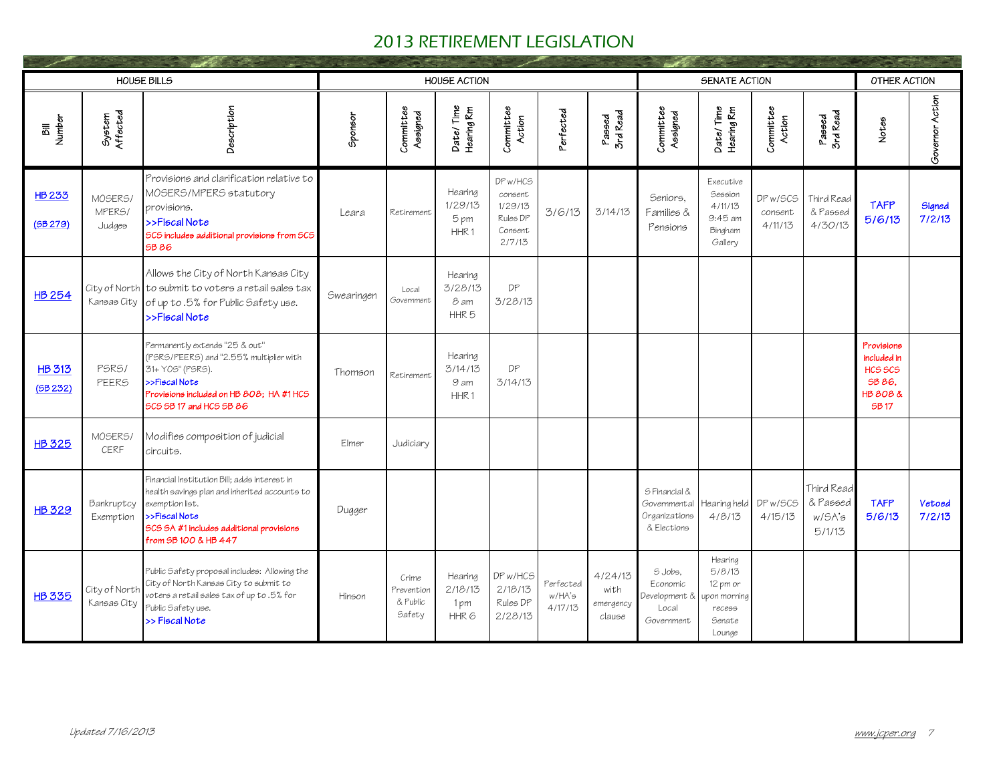|                          |                                          | <b>HOUSE BILLS</b>                                                                                                                                                                                    |            |                                           | <b>HOUSE ACTION</b>                            |                                                                 |                                |                                        |                                                                  | SENATE ACTION                                                               |                                |                                            | OTHER ACTION                                                              |                         |
|--------------------------|------------------------------------------|-------------------------------------------------------------------------------------------------------------------------------------------------------------------------------------------------------|------------|-------------------------------------------|------------------------------------------------|-----------------------------------------------------------------|--------------------------------|----------------------------------------|------------------------------------------------------------------|-----------------------------------------------------------------------------|--------------------------------|--------------------------------------------|---------------------------------------------------------------------------|-------------------------|
| <b>Number</b><br>詞       | System<br>Affected                       | Description                                                                                                                                                                                           | Sponsor    | Committee<br>Assigned                     | Date/Time<br>Hearing Rm                        | Committee<br>Action                                             | Perfected                      | Passed<br>3rd Read                     | Committee<br>Assigned                                            | Date/Time<br>Hearing Rm                                                     | Committee<br>Action            | Passed<br>3rd Read                         | Notes                                                                     | Governor Action         |
| <b>HB233</b><br>(5B 279) | MOSERS/<br>MPER <sub>5</sub> /<br>Judges | Provisions and clarification relative to<br>MOSERS/MPERS statutory<br>provisions.<br>>>Fiscal Note<br>SCS includes additional provisions from SCS<br>SB 86                                            | Leara      | Retirement                                | Hearina<br>1/29/13<br>5 pm<br>HHR <sub>1</sub> | DP w/HCS<br>consent<br>1/29/13<br>Rules DP<br>Consent<br>2/7/13 | 3/6/13                         | 3/14/13                                | Seniors.<br>Families &<br>Pensions                               | Executive<br>Session<br>4/11/13<br>9:45 am<br>Bingham<br>Gallery            | DP w/SCS<br>consent<br>4/11/13 | Third Read<br>& Passed<br>4/30/13          | <b>TAFP</b><br>5/6/13                                                     | Signed<br>7/2/13        |
| <b>HB 254</b>            |                                          | Allows the City of North Kansas City<br>City of North to submit to voters a retail sales tax<br>Kansas City of up to .5% for Public Safety use.<br>>>Fiscal Note                                      | Swearingen | Local<br>Government                       | Hearing<br>3/28/13<br>8 am<br>HHR <sub>5</sub> | DP<br>3/28/13                                                   |                                |                                        |                                                                  |                                                                             |                                |                                            |                                                                           |                         |
| <b>HB 313</b><br>(5B232) | PSRS/<br>PFFR <sub>5</sub>               | Permanently extends "25 & out"<br>(PSRS/PEERS) and "2.55% multiplier with<br>31+ Y05" (PSRS).<br>>>Fiscal Note<br>Provisions included on HB 808; HA #1 HCS<br>SCS SB 17 and HCS SB 86                 | Thomson    | Retirement                                | Hearing<br>3/14/13<br>9 am<br>HHR <sub>1</sub> | DP<br>3/14/13                                                   |                                |                                        |                                                                  |                                                                             |                                |                                            | Provisions<br>included in<br>HCS SCS<br>SB 86.<br>HB 808 &<br><b>SB17</b> |                         |
| <b>HB 325</b>            | MOSERS/<br>CERF                          | Modifies composition of judicial<br>circuits.                                                                                                                                                         | Elmer      | Judiciary                                 |                                                |                                                                 |                                |                                        |                                                                  |                                                                             |                                |                                            |                                                                           |                         |
| <b>HB 329</b>            | Bankruptcy<br>Exemption                  | Financial Institution Bill; adds interest in<br>health savings plan and inherited accounts to<br>exemption list.<br>>>Fiscal Note<br>SCS SA #1 includes additional provisions<br>from SB 100 & HB 447 | Dugger     |                                           |                                                |                                                                 |                                |                                        | 5 Financial &<br>Governmental<br>Organizations<br>& Elections    | Hearing held DP w/SCS<br>4/8/13                                             | 4/15/13                        | Third Read<br>& Passed<br>w/SA's<br>5/1/13 | <b>TAFP</b><br>5/6/13                                                     | <b>Vetoed</b><br>7/2/13 |
| <b>HB 335</b>            | City of North<br>Kansas City             | Public Safety proposal includes: Allowing the<br>City of North Kansas City to submit to<br>voters a retail sales tax of up to .5% for<br>Public Safety use.<br>>> Fiscal Note                         | Hinson     | Crime<br>Prevention<br>& Public<br>Safety | Hearing<br>2/18/13<br>1pm<br>HHR <sub>6</sub>  | DP w/HCS<br>2/18/13<br>Rules DP<br>2/28/13                      | Perfected<br>w/HA's<br>4/17/13 | 4/24/13<br>with<br>emergency<br>clause | $S.$ $lob5.$<br>Economic<br>Development &<br>Local<br>Government | Hearing<br>5/8/13<br>12 pm or<br>upon mornina<br>recess<br>Senate<br>Lounge |                                |                                            |                                                                           |                         |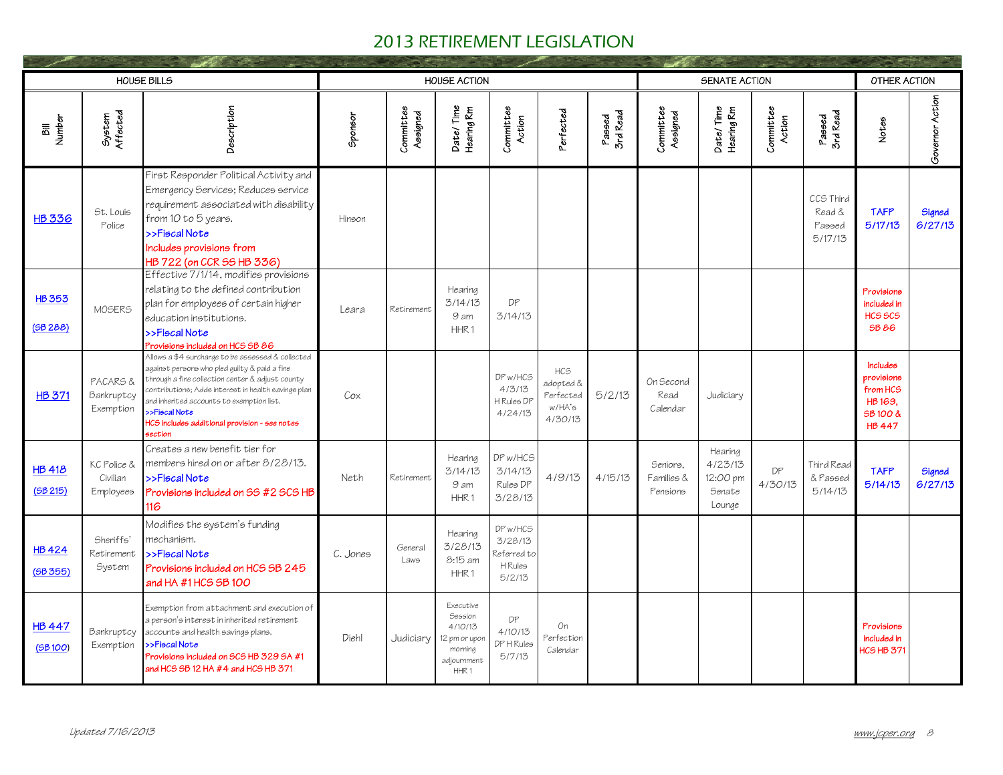|                          |                                      | <b>HOUSE BILLS</b>                                                                                                                                                                                                                                                                                                                      |          |                       | <b>HOUSE ACTION</b>                                                                            |                                                         |                                                                |                    |                                    | SENATE ACTION                                      |                     |                                          | OTHER ACTION                                                               |                   |
|--------------------------|--------------------------------------|-----------------------------------------------------------------------------------------------------------------------------------------------------------------------------------------------------------------------------------------------------------------------------------------------------------------------------------------|----------|-----------------------|------------------------------------------------------------------------------------------------|---------------------------------------------------------|----------------------------------------------------------------|--------------------|------------------------------------|----------------------------------------------------|---------------------|------------------------------------------|----------------------------------------------------------------------------|-------------------|
| <b>Number</b><br>詞       | System<br>Affected                   | Description                                                                                                                                                                                                                                                                                                                             | Sponsor  | Committee<br>Assigned | Date/Time<br>Hearing Rm                                                                        | Committee<br>Action                                     | Perfected                                                      | 3rd Read<br>Passed | Committee<br>Assigned              | Date/Time<br>Hearing Rm                            | Committee<br>Action | Passed<br>3rd Read                       | Notes                                                                      | Governor Action   |
| <b>HB 336</b>            | St. Louis<br>Police                  | First Responder Political Activity and<br>Emergency Services; Reduces service<br>requirement associated with disability<br>from 10 to 5 years.<br>>>Fiscal Note<br>Includes provisions from<br>HB 722 (on CCR SS HB 336)                                                                                                                | Hinson   |                       |                                                                                                |                                                         |                                                                |                    |                                    |                                                    |                     | CCS Third<br>Read &<br>Passed<br>5/17/13 | <b>TAFP</b><br>5/17/13                                                     | Signed<br>6/27/13 |
| <b>HB353</b><br>(5B288)  | MOSERS                               | Effective 7/1/14, modifies provisions<br>relating to the defined contribution<br>plan for employees of certain higher<br>education institutions.<br>>>Fiscal Note<br>Provisions included on HCS SB 86                                                                                                                                   | Leara    | Retirement            | Hearing<br>3/14/13<br>9 am<br>HHR <sub>1</sub>                                                 | DP<br>3/14/13                                           |                                                                |                    |                                    |                                                    |                     |                                          | Provisions<br>included in<br>HCS <sub>SCS</sub><br><b>SB 86</b>            |                   |
| <b>HB 371</b>            | PACARS &<br>Bankruptcy<br>Exemption  | Allows a \$4 surcharge to be assessed & collected<br>against persons who pled quilty & paid a fine<br>through a fine collection center & adjust county<br>contributions; Adds interest in health savings plan<br>and inherited accounts to exemption list.<br>>>Fiscal Note<br>HCS includes additional provision - see notes<br>section | Cox      |                       |                                                                                                | DP w/HCS<br>4/3/13<br>H Rules DP<br>4/24/13             | HC <sub>5</sub><br>adopted &<br>Perfected<br>w/HA's<br>4/30/13 | 5/2/13             | On Second<br>Read<br>Calendar      | Judiciary                                          |                     |                                          | Includes<br>provisions<br>from HCS<br>HB 169.<br>SB 100 &<br><b>HB 447</b> |                   |
| <b>HB 418</b><br>(5B215) | KC Police &<br>Civilian<br>Employees | Creates a new benefit tier for<br>members hired on or after 8/28/13.<br>>>Fiscal Note<br>Provisions included on SS #2 SCS HB<br>116                                                                                                                                                                                                     | Neth     | Retirement            | Hearing<br>3/14/13<br>9 am<br>HHR <sub>1</sub>                                                 | DP w/HCS<br>3/14/13<br>Rules DP<br>3/28/13              | 4/9/13                                                         | 4/15/13            | Seniors.<br>Families &<br>Pensions | Hearing<br>4/23/13<br>12:00 pm<br>Senate<br>Lounge | DP<br>4/30/13       | Third Read<br>& Passed<br>5/14/13        | <b>TAFP</b><br>5/14/13                                                     | Signed<br>6/27/13 |
| <b>HB424</b><br>(5B355)  | Sheriffs'<br>Retirement<br>System    | Modifies the system's funding<br>mechanism.<br>>>Fiscal Note<br>Provisions included on HCS SB 245<br>and HA #1 HCS SB 100                                                                                                                                                                                                               | C. Jones | General<br>Laws       | Hearina<br>3/28/13<br>8:15 am<br>HHR <sub>1</sub>                                              | DP w/HCS<br>3/28/13<br>Referred to<br>H Rules<br>5/2/13 |                                                                |                    |                                    |                                                    |                     |                                          |                                                                            |                   |
| <b>HB 447</b><br>(5B100) | Bankruptcy<br>Exemption              | Exemption from attachment and execution of<br>a person's interest in inherited retirement<br>accounts and health savings plans.<br>>>Fiscal Note<br>Provisions included on SCS HB 329 SA #1<br>and HCS SB 12 HA #4 and HCS HB 371                                                                                                       | Diehl    | Judiciary             | Executive<br>Session<br>4/10/13<br>12 pm or upon<br>morning<br>adjournment<br>HHR <sub>1</sub> | DP<br>4/10/13<br>DP H Rules<br>5/7/13                   | On<br>Perfection<br>Calendar                                   |                    |                                    |                                                    |                     |                                          | Provisions<br>included in<br>HCS HB 37                                     |                   |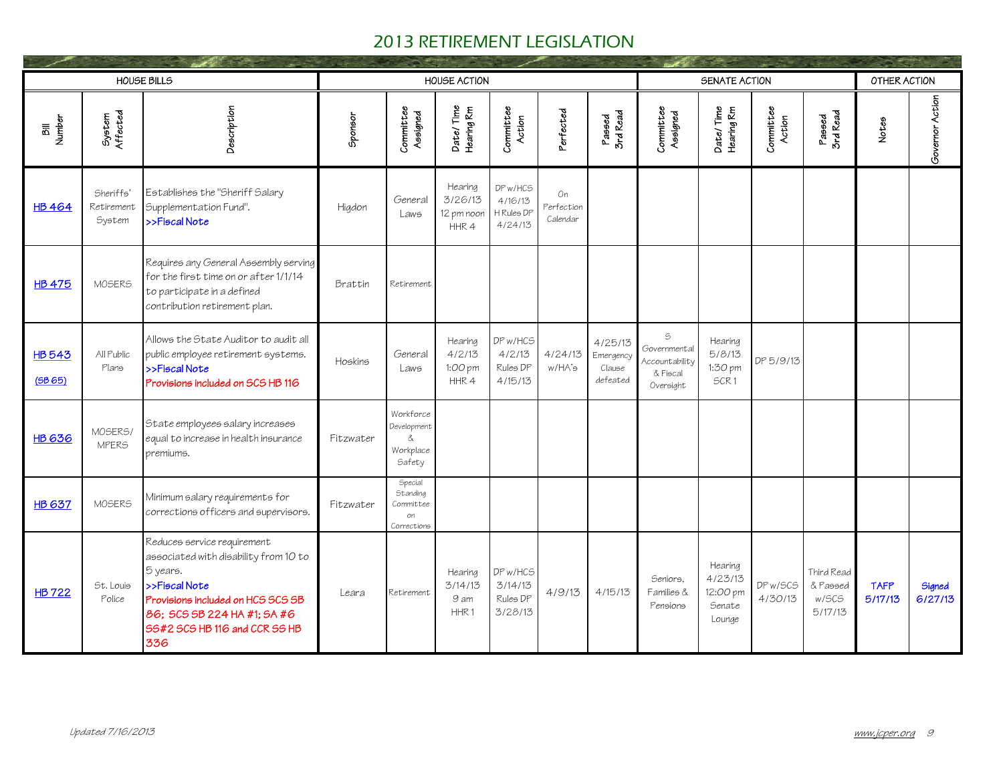|                        |                                   | HOUSE BILLS                                                                                                                                                                                                   |           |                                                              | <b>HOUSE ACTION</b>                            |                                              |                              |                                            |                                                                               | SENATE ACTION                                      |                     |                                            | OTHER ACTION           |                   |
|------------------------|-----------------------------------|---------------------------------------------------------------------------------------------------------------------------------------------------------------------------------------------------------------|-----------|--------------------------------------------------------------|------------------------------------------------|----------------------------------------------|------------------------------|--------------------------------------------|-------------------------------------------------------------------------------|----------------------------------------------------|---------------------|--------------------------------------------|------------------------|-------------------|
| <b>Number</b><br>詞     | System<br>Affected                | Description                                                                                                                                                                                                   | Sponsor   | Committee<br>Assigned                                        | Date/Time<br>Hearing Rm                        | Committee<br>Action                          | Perfected                    | Passed<br>3rd Read                         | Committee<br>Assigned                                                         | Date/Time<br>Hearing Rm                            | Committee<br>Action | Passed<br>3rd Read                         | Notes                  | Governor Action   |
| <b>HB 464</b>          | Sheriffs'<br>Retirement<br>System | Establishes the "Sheriff Salary<br>Supplementation Fund".<br>>>Fiscal Note                                                                                                                                    | Higdon    | General<br>Laws                                              | Hearing<br>3/26/13<br>12 pm noon<br>HHR4       | DP w/HCS<br>4/16/13<br>H Rules DP<br>4/24/13 | On<br>Perfection<br>Calendar |                                            |                                                                               |                                                    |                     |                                            |                        |                   |
| <b>HB 475</b>          | MOSERS                            | Requires any General Assembly serving<br>for the first time on or after 1/1/14<br>to participate in a defined<br>contribution retirement plan.                                                                | Brattin   | Retirement                                                   |                                                |                                              |                              |                                            |                                                                               |                                                    |                     |                                            |                        |                   |
| <b>HB543</b><br>(5B65) | All Public<br>Plans               | Allows the State Auditor to audit all<br>public employee retirement systems.<br>>>Fiscal Note<br>Provisions included on SCS HB 116                                                                            | Hoskins   | General<br>Laws                                              | Hearing<br>4/2/13<br>1:00 pm<br>HHR4           | DP w/HCS<br>4/2/13<br>Rules DP<br>4/15/13    | 4/24/13<br>w/HA's            | 4/25/13<br>Emergency<br>Clause<br>defeated | $\mathbb S$<br>Governmental<br><b>\ccountability</b><br>& Fiscal<br>Oversight | Hearing<br>5/8/13<br>1:30 pm<br>SCR <sub>1</sub>   | DP 5/9/13           |                                            |                        |                   |
| <b>HB 636</b>          | MOSERS/<br><b>MPERS</b>           | State employees salary increases<br>equal to increase in health insurance<br>premiums.                                                                                                                        | Fitzwater | Workforce<br>Development<br>&.<br>Workplace<br>Safety        |                                                |                                              |                              |                                            |                                                                               |                                                    |                     |                                            |                        |                   |
| <b>HB 637</b>          | MOSERS                            | Minimum salary requirements for<br>corrections officers and supervisors.                                                                                                                                      | Fitzwater | Special<br><b>Standing</b><br>Committee<br>on<br>Corrections |                                                |                                              |                              |                                            |                                                                               |                                                    |                     |                                            |                        |                   |
| <b>HB722</b>           | St. Louis<br>Police               | Reduces service requirement<br>associated with disability from 10 to<br>5 years.<br>>>Fiscal Note<br>Provisions included on HCS SCS SB<br>86; SCS SB 224 HA #1; SA #6<br>55#2 SCS HB 116 and CCR SS HB<br>336 | Leara     | Retirement                                                   | Hearing<br>3/14/13<br>9 am<br>HHR <sub>1</sub> | DP w/HCS<br>3/14/13<br>Rules DP<br>3/28/13   | 4/9/13                       | 4/15/13                                    | Seniors.<br>Families &<br>Pensions                                            | Hearing<br>4/23/13<br>12:00 pm<br>Senate<br>Lounge | DP w/SCS<br>4/30/13 | Third Read<br>& Passed<br>w/SCS<br>5/17/13 | <b>TAFP</b><br>5/17/13 | Signed<br>6/27/13 |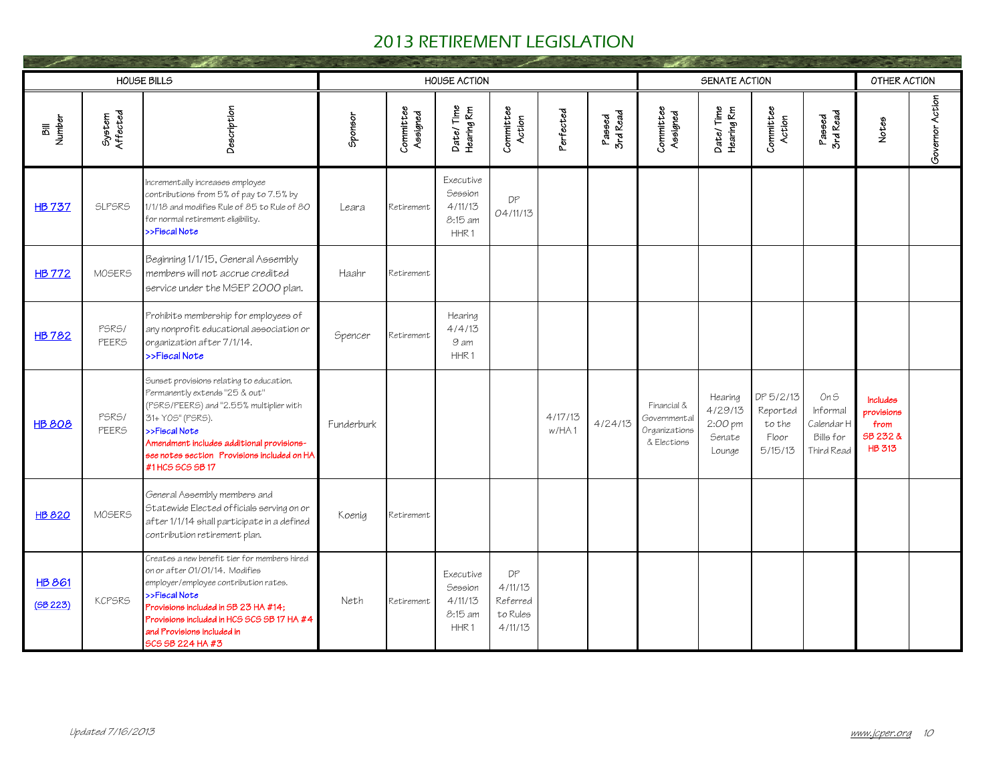|                          |                       | <b>HOUSE BILLS</b>                                                                                                                                                                                                                                                               |            |                       | <b>HOUSE ACTION</b>                                                   |                                                  |                  |                    |                                                             | SENATE ACTION                                     |                                                     |                                                           | OTHER ACTION                                                |                 |
|--------------------------|-----------------------|----------------------------------------------------------------------------------------------------------------------------------------------------------------------------------------------------------------------------------------------------------------------------------|------------|-----------------------|-----------------------------------------------------------------------|--------------------------------------------------|------------------|--------------------|-------------------------------------------------------------|---------------------------------------------------|-----------------------------------------------------|-----------------------------------------------------------|-------------------------------------------------------------|-----------------|
| Number                   | System<br>Affected    | Description                                                                                                                                                                                                                                                                      | Sponsor    | Committee<br>Assigned | Date/Time<br>Hearing Rm                                               | Committee<br>Action                              | Perfected        | Passed<br>3rd Read | Committee<br>Assigned                                       | Date/Time<br>Hearing Rm                           | Committee<br>Action                                 | Passed<br>3rd Read                                        | Notes                                                       | Governor Action |
| <b>HB737</b>             | <b>SLPSRS</b>         | Incrementally increases employee<br>contributions from 5% of pay to 7.5% by<br>1/1/18 and modifies Rule of 85 to Rule of 80<br>for normal retirement eligibility.<br>>>Fiscal Note                                                                                               | Leara      | Retirement            | Executive<br><b>Session</b><br>4/11/13<br>8:15 am<br>HHR <sub>1</sub> | DP<br>04/11/13                                   |                  |                    |                                                             |                                                   |                                                     |                                                           |                                                             |                 |
| <b>HB 772</b>            | MOSERS                | Beginning 1/1/15, General Assembly<br>members will not accrue credited<br>service under the MSEP 2000 plan.                                                                                                                                                                      | Haahr      | Retirement            |                                                                       |                                                  |                  |                    |                                                             |                                                   |                                                     |                                                           |                                                             |                 |
| <b>HB782</b>             | PSRS/<br><b>PEERS</b> | Prohibits membership for employees of<br>any nonprofit educational association or<br>organization after 7/1/14.<br>>>Fiscal Note                                                                                                                                                 | Spencer    | Retirement            | Hearing<br>4/4/13<br>9 am<br>HHR1                                     |                                                  |                  |                    |                                                             |                                                   |                                                     |                                                           |                                                             |                 |
| <b>HB 808</b>            | PSRS/<br><b>PEERS</b> | Sunset provisions relating to education.<br>Permanently extends "25 & out"<br>(PSRS/PEERS) and "2.55% multiplier with<br>31+ Y0S" (PSRS).<br>>>Fiscal Note<br>Amendment includes additional provisions-<br>see notes section Provisions included on HA<br>#1HCS SCS SB 17        | Funderburk |                       |                                                                       |                                                  | 4/17/13<br>w/HA1 | 4/24/13            | Financial &<br>Governmental<br>Organizations<br>& Elections | Hearing<br>4/29/13<br>2:00 pm<br>Senate<br>Lounge | DP 5/2/13<br>Reported<br>to the<br>Floor<br>5/15/13 | On S<br>Informal<br>Calendar H<br>Bills for<br>Third Read | Includes<br>provisions<br>from<br>SB 232 &<br><b>HB 313</b> |                 |
| <b>HB 820</b>            | MOSERS                | General Assembly members and<br>Statewide Elected officials serving on or<br>after 1/1/14 shall participate in a defined<br>contribution retirement plan.                                                                                                                        | Koenia     | Retirement            |                                                                       |                                                  |                  |                    |                                                             |                                                   |                                                     |                                                           |                                                             |                 |
| <b>HB 861</b><br>(5B223) | <b>KCPSRS</b>         | Creates a new benefit tier for members hired<br>on or after 01/01/14. Modifies<br>employer/employee contribution rates.<br>>>Fiscal Note<br>Provisions included in SB 23 HA #14;<br>Provisions included in HCS SCS SB 17 HA #4<br>and Provisions included in<br>SCS SB 224 HA #3 | Neth       | Retirement            | Executive<br>Session<br>4/11/13<br>8:15 am<br>HHR <sub>1</sub>        | DP<br>4/11/13<br>Referred<br>to Rules<br>4/11/13 |                  |                    |                                                             |                                                   |                                                     |                                                           |                                                             |                 |